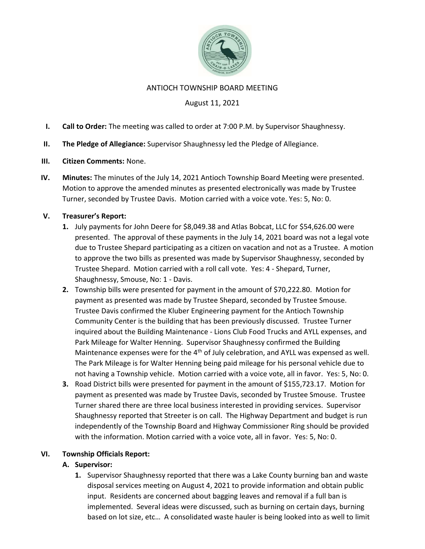

#### ANTIOCH TOWNSHIP BOARD MEETING

### August 11, 2021

- I. Call to Order: The meeting was called to order at 7:00 P.M. by Supervisor Shaughnessy.
- II. The Pledge of Allegiance: Supervisor Shaughnessy led the Pledge of Allegiance.
- III. Citizen Comments: None.
- IV. Minutes: The minutes of the July 14, 2021 Antioch Township Board Meeting were presented. Motion to approve the amended minutes as presented electronically was made by Trustee Turner, seconded by Trustee Davis. Motion carried with a voice vote. Yes: 5, No: 0.

### V. Treasurer's Report:

- 1. July payments for John Deere for \$8,049.38 and Atlas Bobcat, LLC for \$54,626.00 were presented. The approval of these payments in the July 14, 2021 board was not a legal vote due to Trustee Shepard participating as a citizen on vacation and not as a Trustee. A motion to approve the two bills as presented was made by Supervisor Shaughnessy, seconded by Trustee Shepard. Motion carried with a roll call vote. Yes: 4 - Shepard, Turner, Shaughnessy, Smouse, No: 1 - Davis.
- 2. Township bills were presented for payment in the amount of \$70,222.80. Motion for payment as presented was made by Trustee Shepard, seconded by Trustee Smouse. Trustee Davis confirmed the Kluber Engineering payment for the Antioch Township Community Center is the building that has been previously discussed. Trustee Turner inquired about the Building Maintenance - Lions Club Food Trucks and AYLL expenses, and Park Mileage for Walter Henning. Supervisor Shaughnessy confirmed the Building Maintenance expenses were for the  $4<sup>th</sup>$  of July celebration, and AYLL was expensed as well. The Park Mileage is for Walter Henning being paid mileage for his personal vehicle due to not having a Township vehicle. Motion carried with a voice vote, all in favor. Yes: 5, No: 0.
- 3. Road District bills were presented for payment in the amount of \$155,723.17. Motion for payment as presented was made by Trustee Davis, seconded by Trustee Smouse. Trustee Turner shared there are three local business interested in providing services. Supervisor Shaughnessy reported that Streeter is on call. The Highway Department and budget is run independently of the Township Board and Highway Commissioner Ring should be provided with the information. Motion carried with a voice vote, all in favor. Yes: 5, No: 0.

### VI. Township Officials Report:

### A. Supervisor:

1. Supervisor Shaughnessy reported that there was a Lake County burning ban and waste disposal services meeting on August 4, 2021 to provide information and obtain public input. Residents are concerned about bagging leaves and removal if a full ban is implemented. Several ideas were discussed, such as burning on certain days, burning based on lot size, etc… A consolidated waste hauler is being looked into as well to limit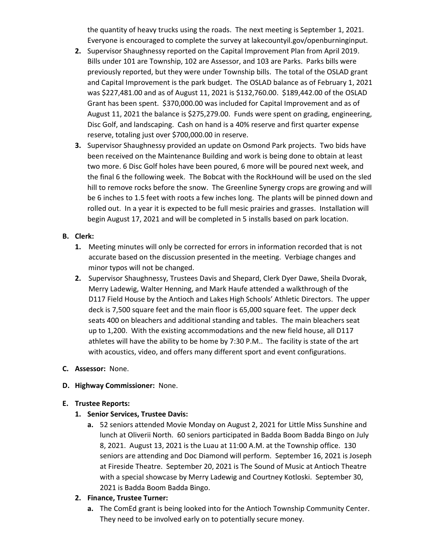the quantity of heavy trucks using the roads. The next meeting is September 1, 2021. Everyone is encouraged to complete the survey at lakecountyil.gov/openburninginput.

- 2. Supervisor Shaughnessy reported on the Capital Improvement Plan from April 2019. Bills under 101 are Township, 102 are Assessor, and 103 are Parks. Parks bills were previously reported, but they were under Township bills. The total of the OSLAD grant and Capital Improvement is the park budget. The OSLAD balance as of February 1, 2021 was \$227,481.00 and as of August 11, 2021 is \$132,760.00. \$189,442.00 of the OSLAD Grant has been spent. \$370,000.00 was included for Capital Improvement and as of August 11, 2021 the balance is \$275,279.00. Funds were spent on grading, engineering, Disc Golf, and landscaping. Cash on hand is a 40% reserve and first quarter expense reserve, totaling just over \$700,000.00 in reserve.
- 3. Supervisor Shaughnessy provided an update on Osmond Park projects. Two bids have been received on the Maintenance Building and work is being done to obtain at least two more. 6 Disc Golf holes have been poured, 6 more will be poured next week, and the final 6 the following week. The Bobcat with the RockHound will be used on the sled hill to remove rocks before the snow. The Greenline Synergy crops are growing and will be 6 inches to 1.5 feet with roots a few inches long. The plants will be pinned down and rolled out. In a year it is expected to be full mesic prairies and grasses. Installation will begin August 17, 2021 and will be completed in 5 installs based on park location.

### B. Clerk:

- 1. Meeting minutes will only be corrected for errors in information recorded that is not accurate based on the discussion presented in the meeting. Verbiage changes and minor typos will not be changed.
- 2. Supervisor Shaughnessy, Trustees Davis and Shepard, Clerk Dyer Dawe, Sheila Dvorak, Merry Ladewig, Walter Henning, and Mark Haufe attended a walkthrough of the D117 Field House by the Antioch and Lakes High Schools' Athletic Directors. The upper deck is 7,500 square feet and the main floor is 65,000 square feet. The upper deck seats 400 on bleachers and additional standing and tables. The main bleachers seat up to 1,200. With the existing accommodations and the new field house, all D117 athletes will have the ability to be home by 7:30 P.M.. The facility is state of the art with acoustics, video, and offers many different sport and event configurations.

# C. Assessor: None.

# D. Highway Commissioner: None.

### E. Trustee Reports:

# 1. Senior Services, Trustee Davis:

a. 52 seniors attended Movie Monday on August 2, 2021 for Little Miss Sunshine and lunch at Oliverii North. 60 seniors participated in Badda Boom Badda Bingo on July 8, 2021. August 13, 2021 is the Luau at 11:00 A.M. at the Township office. 130 seniors are attending and Doc Diamond will perform. September 16, 2021 is Joseph at Fireside Theatre. September 20, 2021 is The Sound of Music at Antioch Theatre with a special showcase by Merry Ladewig and Courtney Kotloski. September 30, 2021 is Badda Boom Badda Bingo.

# 2. Finance, Trustee Turner:

a. The ComEd grant is being looked into for the Antioch Township Community Center. They need to be involved early on to potentially secure money.